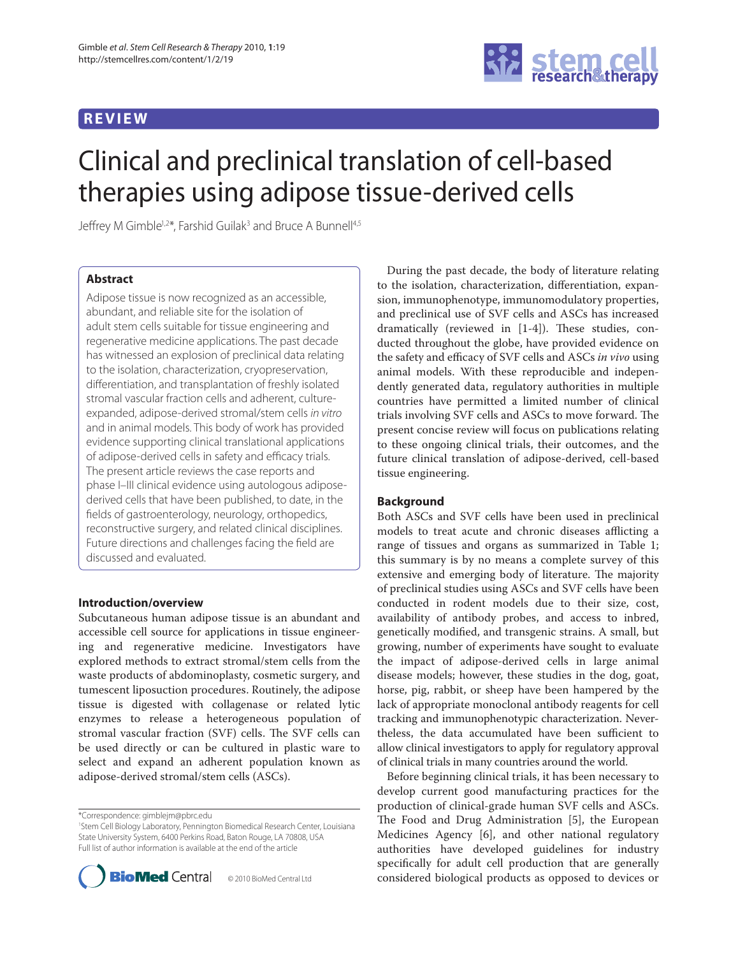## **REVIEW**



# Clinical and preclinical translation of cell-based therapies using adipose tissue-derived cells

Jeffrey M Gimble<sup>1,2\*</sup>, Farshid Guilak<sup>3</sup> and Bruce A Bunnell<sup>4,5</sup>

## **Abstract**

Adipose tissue is now recognized as an accessible, abundant, and reliable site for the isolation of adult stem cells suitable for tissue engineering and regenerative medicine applications. The past decade has witnessed an explosion of preclinical data relating to the isolation, characterization, cryopreservation, differentiation, and transplantation of freshly isolated stromal vascular fraction cells and adherent, cultureexpanded, adipose-derived stromal/stem cells in vitro and in animal models. This body of work has provided evidence supporting clinical translational applications of adipose-derived cells in safety and efficacy trials. The present article reviews the case reports and phase I–III clinical evidence using autologous adiposederived cells that have been published, to date, in the fields of gastroenterology, neurology, orthopedics, reconstructive surgery, and related clinical disciplines. Future directions and challenges facing the field are discussed and evaluated.

## **Introduction/overview**

Subcutaneous human adipose tissue is an abundant and accessible cell source for applications in tissue engineering and regenerative medicine. Investigators have explored methods to extract stromal/stem cells from the waste products of abdominoplasty, cosmetic surgery, and tumescent liposuction procedures. Routinely, the adipose tissue is digested with collagenase or related lytic enzymes to release a heterogeneous population of stromal vascular fraction (SVF) cells. The SVF cells can be used directly or can be cultured in plastic ware to select and expand an adherent population known as adipose-derived stromal/stem cells (ASCs).

\*Correspondence: gimblejm@pbrc.edu

<sup>1</sup> Stem Cell Biology Laboratory, Pennington Biomedical Research Center, Louisiana State University System, 6400 Perkins Road, Baton Rouge, LA 70808, USA Full list of author information is available at the end of the article



© 2010 BioMed Central Ltd

During the past decade, the body of literature relating to the isolation, characterization, differentiation, expansion, immunophenotype, immunomodulatory properties, and preclinical use of SVF cells and ASCs has increased dramatically (reviewed in  $[1-4]$ ). These studies, conducted throughout the globe, have provided evidence on the safety and efficacy of SVF cells and ASCs in vivo using animal models. With these reproducible and independently generated data, regulatory authorities in multiple countries have permitted a limited number of clinical trials involving SVF cells and ASCs to move forward. The present concise review will focus on publications relating to these ongoing clinical trials, their outcomes, and the future clinical translation of adipose-derived, cell-based tissue engineering.

## **Background**

Both ASCs and SVF cells have been used in preclinical models to treat acute and chronic diseases afflicting a range of tissues and organs as summarized in Table 1; this summary is by no means a complete survey of this extensive and emerging body of literature. The majority of preclinical studies using ASCs and SVF cells have been conducted in rodent models due to their size, cost, availability of antibody probes, and access to inbred, genetically modified, and transgenic strains. A small, but growing, number of experiments have sought to evaluate the impact of adipose-derived cells in large animal disease models; however, these studies in the dog, goat, horse, pig, rabbit, or sheep have been hampered by the lack of appropriate monoclonal antibody reagents for cell tracking and immunophenotypic characterization. Nevertheless, the data accumulated have been sufficient to allow clinical investigators to apply for regulatory approval of clinical trials in many countries around the world.

Before beginning clinical trials, it has been necessary to develop current good manufacturing practices for the production of clinical-grade human SVF cells and ASCs. The Food and Drug Administration [5], the European Medicines Agency [6], and other national regulatory authorities have developed guidelines for industry specifically for adult cell production that are generally considered biological products as opposed to devices or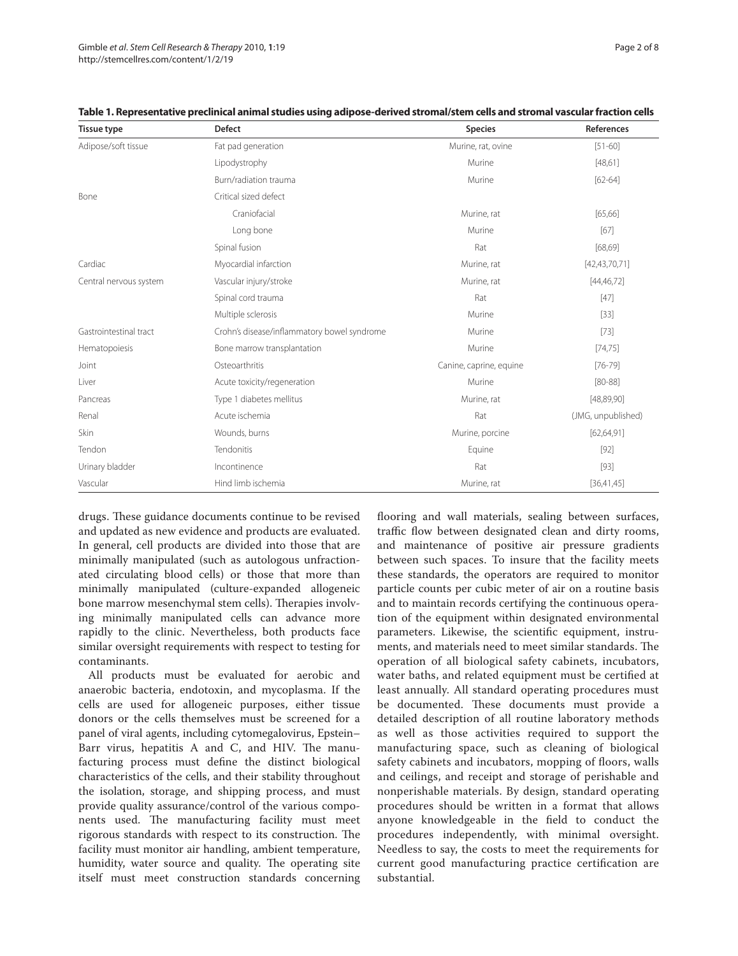| <b>Tissue type</b>     | <b>Defect</b>                               | <b>Species</b>          | References         |  |
|------------------------|---------------------------------------------|-------------------------|--------------------|--|
| Adipose/soft tissue    | Fat pad generation                          | Murine, rat, ovine      | $[51 - 60]$        |  |
|                        | Lipodystrophy                               | Murine                  | [48, 61]           |  |
|                        | Burn/radiation trauma                       | Murine                  | $[62 - 64]$        |  |
| Bone                   | Critical sized defect                       |                         |                    |  |
|                        | Craniofacial                                | Murine, rat             | [65, 66]           |  |
|                        | Long bone                                   | Murine                  | [67]               |  |
|                        | Spinal fusion                               | Rat                     | [68, 69]           |  |
| Cardiac                | Myocardial infarction                       | Murine, rat             | [42, 43, 70, 71]   |  |
| Central nervous system | Vascular injury/stroke                      | Murine, rat             | [44, 46, 72]       |  |
|                        | Spinal cord trauma                          | Rat                     | $[47]$             |  |
|                        | Multiple sclerosis                          | Murine                  | $[33]$             |  |
| Gastrointestinal tract | Crohn's disease/inflammatory bowel syndrome | Murine                  | $[73]$             |  |
| Hematopoiesis          | Bone marrow transplantation                 | Murine                  | [74, 75]           |  |
| Joint                  | Osteoarthritis                              | Canine, caprine, equine | $[76 - 79]$        |  |
| Liver                  | Acute toxicity/regeneration                 | Murine                  | $[80 - 88]$        |  |
| Pancreas               | Type 1 diabetes mellitus                    | Murine, rat             | [48,89,90]         |  |
| Renal                  | Acute ischemia                              | Rat                     | (JMG, unpublished) |  |
| <b>Skin</b>            | Wounds, burns                               | Murine, porcine         | [62, 64, 91]       |  |
| Tendon                 | Tendonitis                                  | Equine                  | $[92]$             |  |
| Urinary bladder        | Incontinence                                | Rat                     | $[93]$             |  |
| Vascular               | Hind limb ischemia                          | Murine, rat             | [36,41,45]         |  |

drugs. These guidance documents continue to be revised and updated as new evidence and products are evaluated. In general, cell products are divided into those that are minimally manipulated (such as autologous unfractionated circulating blood cells) or those that more than minimally manipulated (culture-expanded allogeneic bone marrow mesenchymal stem cells). Therapies involving minimally manipulated cells can advance more rapidly to the clinic. Nevertheless, both products face similar oversight requirements with respect to testing for contaminants.

All products must be evaluated for aerobic and anaerobic bacteria, endotoxin, and mycoplasma. If the cells are used for allogeneic purposes, either tissue donors or the cells themselves must be screened for a panel of viral agents, including cytomegalovirus, Epstein– Barr virus, hepatitis A and C, and HIV. The manufacturing process must define the distinct biological characteristics of the cells, and their stability throughout the isolation, storage, and shipping process, and must provide quality assurance/control of the various components used. The manufacturing facility must meet rigorous standards with respect to its construction. The facility must monitor air handling, ambient temperature, humidity, water source and quality. The operating site itself must meet construction standards concerning

flooring and wall materials, sealing between surfaces, traffic flow between designated clean and dirty rooms, and maintenance of positive air pressure gradients between such spaces. To insure that the facility meets these standards, the operators are required to monitor particle counts per cubic meter of air on a routine basis and to maintain records certifying the continuous operation of the equipment within designated environmental parameters. Likewise, the scientific equipment, instruments, and materials need to meet similar standards. The operation of all biological safety cabinets, incubators, water baths, and related equipment must be certified at least annually. All standard operating procedures must be documented. These documents must provide a detailed description of all routine laboratory methods as well as those activities required to support the manufacturing space, such as cleaning of biological safety cabinets and incubators, mopping of floors, walls and ceilings, and receipt and storage of perishable and nonperishable materials. By design, standard operating procedures should be written in a format that allows anyone knowledgeable in the field to conduct the procedures independently, with minimal oversight. Needless to say, the costs to meet the requirements for current good manufacturing practice certification are substantial.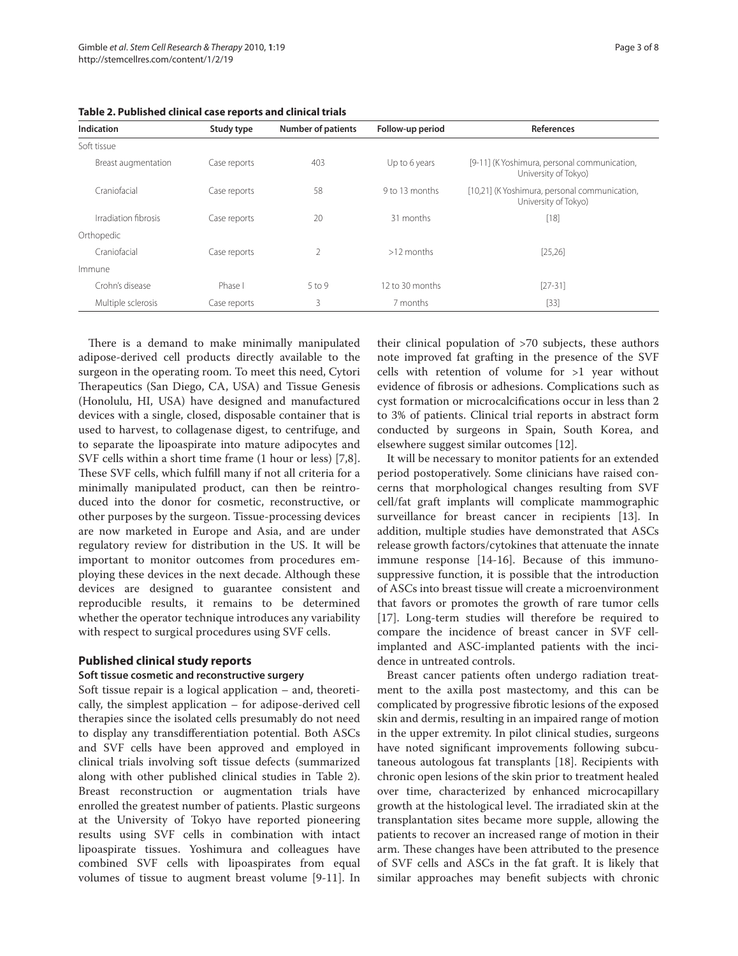| Indication           | Study type   | <b>Number of patients</b> | Follow-up period | <b>References</b>                                                     |
|----------------------|--------------|---------------------------|------------------|-----------------------------------------------------------------------|
| Soft tissue          |              |                           |                  |                                                                       |
| Breast augmentation  | Case reports | 403                       | Up to 6 years    | [9-11] (K Yoshimura, personal communication,<br>University of Tokyo)  |
| Craniofacial         | Case reports | 58                        | 9 to 13 months   | [10,21] (K Yoshimura, personal communication,<br>University of Tokyo) |
| Irradiation fibrosis | Case reports | 20                        | 31 months        | $[18]$                                                                |
| Orthopedic           |              |                           |                  |                                                                       |
| Craniofacial         | Case reports | $\mathfrak{D}$            | $>12$ months     | $[25,26]$                                                             |
| Immune               |              |                           |                  |                                                                       |
| Crohn's disease      | Phase I      | $5$ to 9                  | 12 to 30 months  | $[27-31]$                                                             |
| Multiple sclerosis   | Case reports | 3                         | 7 months         | $[33]$                                                                |

**Table 2. Published clinical case reports and clinical trials**

There is a demand to make minimally manipulated adipose-derived cell products directly available to the surgeon in the operating room. To meet this need, Cytori Therapeutics (San Diego, CA, USA) and Tissue Genesis (Honolulu, HI, USA) have designed and manufactured devices with a single, closed, disposable container that is used to harvest, to collagenase digest, to centrifuge, and to separate the lipoaspirate into mature adipocytes and SVF cells within a short time frame (1 hour or less) [7,8]. These SVF cells, which fulfill many if not all criteria for a minimally manipulated product, can then be reintroduced into the donor for cosmetic, reconstructive, or other purposes by the surgeon. Tissue-processing devices are now marketed in Europe and Asia, and are under regulatory review for distribution in the US. It will be important to monitor outcomes from procedures employing these devices in the next decade. Although these devices are designed to guarantee consistent and reproducible results, it remains to be determined whether the operator technique introduces any variability with respect to surgical procedures using SVF cells.

## **Published clinical study reports**

## **Soft tissue cosmetic and reconstructive surgery**

Soft tissue repair is a logical application – and, theoretically, the simplest application – for adipose-derived cell therapies since the isolated cells presumably do not need to display any transdifferentiation potential. Both ASCs and SVF cells have been approved and employed in clinical trials involving soft tissue defects (summarized along with other published clinical studies in Table 2). Breast reconstruction or augmentation trials have enrolled the greatest number of patients. Plastic surgeons at the University of Tokyo have reported pioneering results using SVF cells in combination with intact lipoaspirate tissues. Yoshimura and colleagues have combined SVF cells with lipo aspirates from equal volumes of tissue to augment breast volume [9-11]. In

their clinical population of >70 subjects, these authors note improved fat grafting in the presence of the SVF cells with retention of volume for >1 year without evidence of fibrosis or adhesions. Complications such as cyst formation or microcalcifications occur in less than 2 to 3% of patients. Clinical trial reports in abstract form conducted by surgeons in Spain, South Korea, and elsewhere suggest similar outcomes [12].

It will be necessary to monitor patients for an extended period postoperatively. Some clinicians have raised concerns that morphological changes resulting from SVF cell/fat graft implants will complicate mammographic surveillance for breast cancer in recipients [13]. In addition, multiple studies have demonstrated that ASCs release growth factors/cytokines that attenuate the innate immune response [14-16]. Because of this immunosuppressive function, it is possible that the introduction of ASCs into breast tissue will create a microenvironment that favors or promotes the growth of rare tumor cells [17]. Long-term studies will therefore be required to compare the incidence of breast cancer in SVF cellimplanted and ASC-implanted patients with the incidence in untreated controls.

Breast cancer patients often undergo radiation treatment to the axilla post mastectomy, and this can be complicated by progressive fibrotic lesions of the exposed skin and dermis, resulting in an impaired range of motion in the upper extremity. In pilot clinical studies, surgeons have noted significant improvements following subcutaneous autologous fat transplants [18]. Recipients with chronic open lesions of the skin prior to treatment healed over time, characterized by enhanced microcapillary growth at the histological level. The irradiated skin at the transplantation sites became more supple, allowing the patients to recover an increased range of motion in their arm. These changes have been attributed to the presence of SVF cells and ASCs in the fat graft. It is likely that similar approaches may benefit subjects with chronic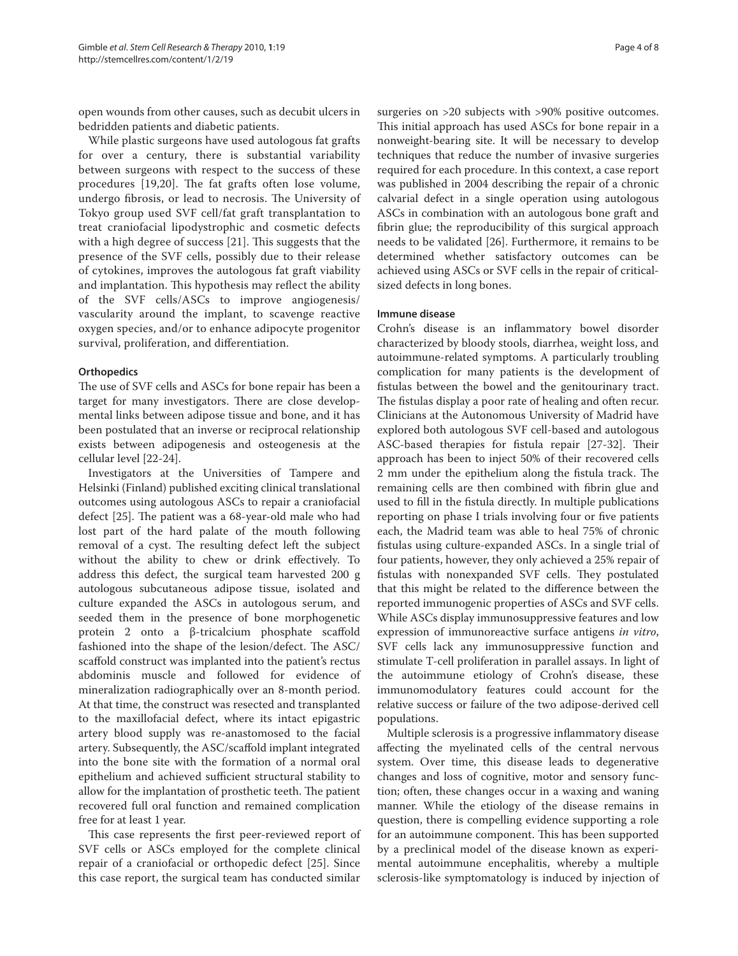open wounds from other causes, such as decubit ulcers in bedridden patients and diabetic patients.

While plastic surgeons have used autologous fat grafts for over a century, there is substantial variability between surgeons with respect to the success of these procedures [19,20]. The fat grafts often lose volume, undergo fibrosis, or lead to necrosis. The University of Tokyo group used SVF cell/fat graft transplantation to treat craniofacial lipodystrophic and cosmetic defects with a high degree of success  $[21]$ . This suggests that the presence of the SVF cells, possibly due to their release of cytokines, improves the autologous fat graft viability and implantation. This hypothesis may reflect the ability of the SVF cells/ASCs to improve angiogenesis/ vascularity around the implant, to scavenge reactive oxygen species, and/or to enhance adipocyte progenitor survival, proliferation, and differentiation.

#### **Orthopedics**

The use of SVF cells and ASCs for bone repair has been a target for many investigators. There are close developmental links between adipose tissue and bone, and it has been postulated that an inverse or reciprocal relationship exists between adipogenesis and osteogenesis at the cellular level [22-24].

Investigators at the Universities of Tampere and Helsinki (Finland) published exciting clinical translational outcomes using autologous ASCs to repair a craniofacial defect  $[25]$ . The patient was a 68-year-old male who had lost part of the hard palate of the mouth following removal of a cyst. The resulting defect left the subject without the ability to chew or drink effectively. To address this defect, the surgical team harvested 200 g autologous subcutaneous adipose tissue, isolated and culture expanded the ASCs in autologous serum, and seeded them in the presence of bone morphogenetic protein 2 onto a β-tricalcium phosphate scaffold fashioned into the shape of the lesion/defect. The ASC/ scaffold construct was implanted into the patient's rectus abdominis muscle and followed for evidence of mineralization radiographically over an 8-month period. At that time, the construct was resected and transplanted to the maxillofacial defect, where its intact epigastric artery blood supply was re-anastomosed to the facial artery. Subsequently, the ASC/scaffold implant integrated into the bone site with the formation of a normal oral epithelium and achieved sufficient structural stability to allow for the implantation of prosthetic teeth. The patient recovered full oral function and remained complication free for at least 1 year.

This case represents the first peer-reviewed report of SVF cells or ASCs employed for the complete clinical repair of a craniofacial or orthopedic defect [25]. Since this case report, the surgical team has conducted similar surgeries on >20 subjects with >90% positive outcomes. This initial approach has used ASCs for bone repair in a nonweight-bearing site. It will be necessary to develop techniques that reduce the number of invasive surgeries required for each procedure. In this context, a case report was published in 2004 describing the repair of a chronic calvarial defect in a single operation using autologous ASCs in combination with an autologous bone graft and fibrin glue; the reproducibility of this surgical approach needs to be validated [26]. Furthermore, it remains to be determined whether satisfactory outcomes can be achieved using ASCs or SVF cells in the repair of criticalsized defects in long bones.

#### **Immune disease**

Crohn's disease is an inflammatory bowel disorder characterized by bloody stools, diarrhea, weight loss, and autoimmune-related symptoms. A particularly troubling complication for many patients is the development of fistulas between the bowel and the genitourinary tract. The fistulas display a poor rate of healing and often recur. Clinicians at the Autonomous University of Madrid have explored both autologous SVF cell-based and autologous ASC-based therapies for fistula repair [27-32]. Their approach has been to inject 50% of their recovered cells 2 mm under the epithelium along the fistula track. The remaining cells are then combined with fibrin glue and used to fill in the fistula directly. In multiple publications reporting on phase I trials involving four or five patients each, the Madrid team was able to heal 75% of chronic fistulas using culture-expanded ASCs. In a single trial of four patients, however, they only achieved a 25% repair of fistulas with nonexpanded SVF cells. They postulated that this might be related to the difference between the reported immunogenic properties of ASCs and SVF cells. While ASCs display immunosuppressive features and low expression of immunoreactive surface antigens *in vitro*, SVF cells lack any immunosuppressive function and stimulate T-cell proliferation in parallel assays. In light of the autoimmune etiology of Crohn's disease, these immuno modulatory features could account for the relative success or failure of the two adipose-derived cell populations.

Multiple sclerosis is a progressive inflammatory disease affecting the myelinated cells of the central nervous system. Over time, this disease leads to degenerative changes and loss of cognitive, motor and sensory function; often, these changes occur in a waxing and waning manner. While the etiology of the disease remains in question, there is compelling evidence supporting a role for an autoimmune component. This has been supported by a preclinical model of the disease known as experimental autoimmune encephalitis, whereby a multiple sclerosis-like symptomatology is induced by injection of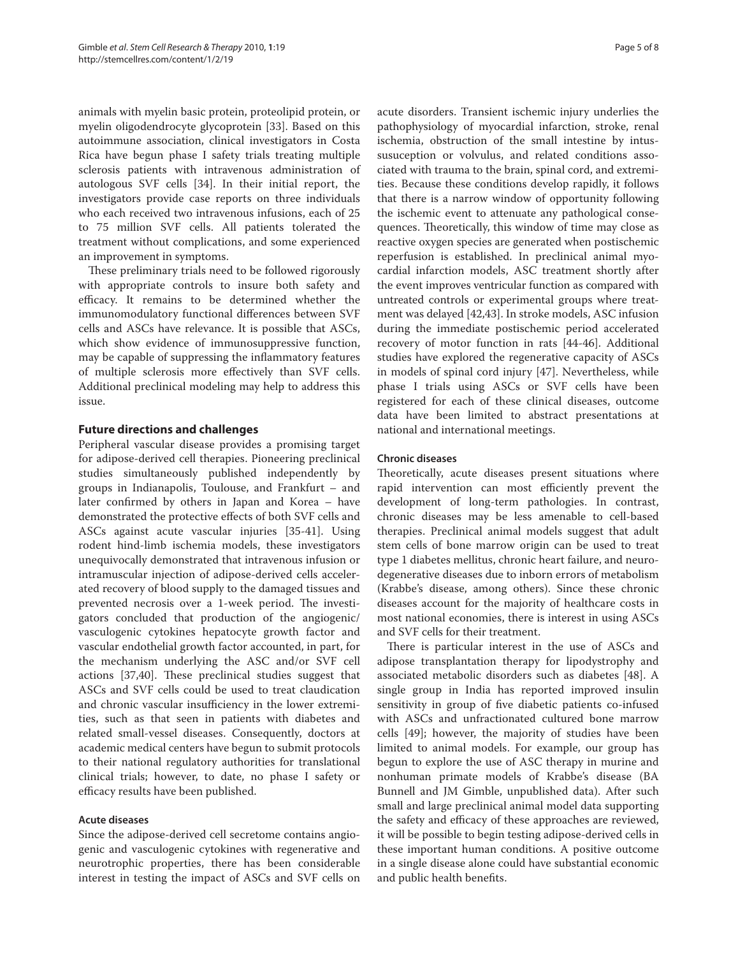animals with myelin basic protein, proteolipid protein, or myelin oligodendrocyte glycoprotein [33]. Based on this autoimmune association, clinical investigators in Costa Rica have begun phase I safety trials treating multiple sclerosis patients with intravenous administration of autologous SVF cells [34]. In their initial report, the investigators provide case reports on three individuals who each received two intravenous infusions, each of 25 to 75 million SVF cells. All patients tolerated the treatment without complications, and some experienced an improvement in symptoms.

These preliminary trials need to be followed rigorously with appropriate controls to insure both safety and effi cacy. It remains to be determined whether the immunomodulatory functional differences between SVF cells and ASCs have relevance. It is possible that ASCs, which show evidence of immunosuppressive function, may be capable of suppressing the inflammatory features of multiple sclerosis more effectively than SVF cells. Additional preclinical modeling may help to address this issue.

## **Future directions and challenges**

Peripheral vascular disease provides a promising target for adipose-derived cell therapies. Pioneering preclinical studies simultaneously published independently by groups in Indianapolis, Toulouse, and Frankfurt – and later confirmed by others in Japan and Korea - have demonstrated the protective effects of both SVF cells and ASCs against acute vascular injuries [35-41]. Using rodent hind-limb ischemia models, these investigators unequivocally demonstrated that intravenous infusion or intramuscular injection of adipose-derived cells accelerated recovery of blood supply to the damaged tissues and prevented necrosis over a 1-week period. The investigators concluded that production of the angiogenic/ vasculogenic cytokines hepatocyte growth factor and vascular endothelial growth factor accounted, in part, for the mechanism underlying the ASC and/or SVF cell actions [37,40]. These preclinical studies suggest that ASCs and SVF cells could be used to treat claudication and chronic vascular insufficiency in the lower extremities, such as that seen in patients with diabetes and related small-vessel diseases. Consequently, doctors at academic medical centers have begun to submit protocols to their national regulatory authorities for translational clinical trials; however, to date, no phase I safety or efficacy results have been published.

## **Acute diseases**

Since the adipose-derived cell secretome contains angiogenic and vasculogenic cytokines with regenerative and neurotrophic properties, there has been considerable interest in testing the impact of ASCs and SVF cells on acute disorders. Transient ischemic injury underlies the pathophysiology of myocardial infarction, stroke, renal ischemia, obstruction of the small intestine by intussusuception or volvulus, and related conditions associated with trauma to the brain, spinal cord, and extremities. Because these conditions develop rapidly, it follows that there is a narrow window of opportunity following the ischemic event to attenuate any pathological consequences. Theoretically, this window of time may close as reactive oxygen species are generated when postischemic reperfusion is established. In preclinical animal myocardial infarction models, ASC treatment shortly after the event improves ventricular function as compared with untreated controls or experimental groups where treatment was delayed [42,43]. In stroke models, ASC infusion during the immediate postischemic period accelerated recovery of motor function in rats [44-46]. Additional studies have explored the regenerative capacity of ASCs in models of spinal cord injury [47]. Nevertheless, while phase I trials using ASCs or SVF cells have been registered for each of these clinical diseases, outcome data have been limited to abstract presentations at national and international meetings.

## **Chronic diseases**

Theoretically, acute diseases present situations where rapid intervention can most efficiently prevent the development of long-term pathologies. In contrast, chronic diseases may be less amenable to cell-based therapies. Preclinical animal models suggest that adult stem cells of bone marrow origin can be used to treat type 1 diabetes mellitus, chronic heart failure, and neurodegenerative diseases due to inborn errors of metabolism (Krabbe's disease, among others). Since these chronic diseases account for the majority of healthcare costs in most national economies, there is interest in using ASCs and SVF cells for their treatment.

There is particular interest in the use of ASCs and adipose transplantation therapy for lipodystrophy and associated metabolic disorders such as diabetes [48]. A single group in India has reported improved insulin sensitivity in group of five diabetic patients co-infused with ASCs and unfractionated cultured bone marrow cells [49]; however, the majority of studies have been limited to animal models. For example, our group has begun to explore the use of ASC therapy in murine and nonhuman primate models of Krabbe's disease (BA Bunnell and JM Gimble, unpublished data). After such small and large preclinical animal model data supporting the safety and efficacy of these approaches are reviewed, it will be possible to begin testing adipose-derived cells in these important human conditions. A positive outcome in a single disease alone could have substantial economic and public health benefits.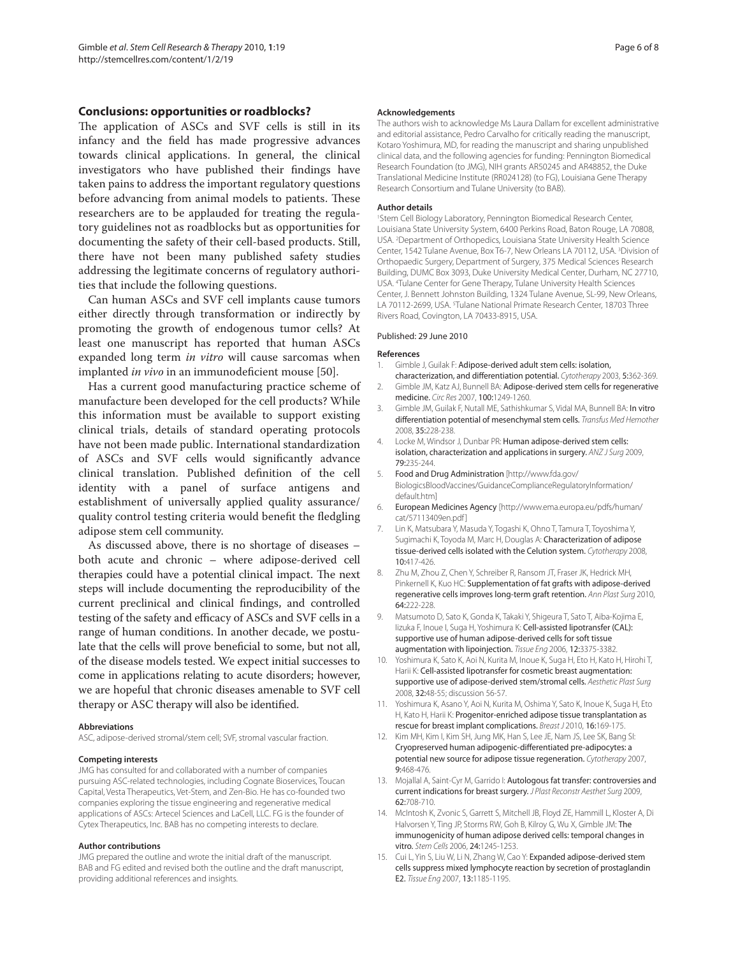#### **Conclusions: opportunities or roadblocks?**

The application of ASCs and SVF cells is still in its infancy and the field has made progressive advances towards clinical applications. In general, the clinical investigators who have published their findings have taken pains to address the important regulatory questions before advancing from animal models to patients. These researchers are to be applauded for treating the regulatory guidelines not as roadblocks but as opportunities for documenting the safety of their cell-based products. Still, there have not been many published safety studies addressing the legitimate concerns of regulatory authorities that include the following questions.

Can human ASCs and SVF cell implants cause tumors either directly through transformation or indirectly by promoting the growth of endogenous tumor cells? At least one manuscript has reported that human ASCs expanded long term *in vitro* will cause sarcomas when implanted *in vivo* in an immunodeficient mouse [50].

Has a current good manufacturing practice scheme of manufacture been developed for the cell products? While this information must be available to support existing clinical trials, details of standard operating protocols have not been made public. International standardization of ASCs and SVF cells would significantly advance clinical translation. Published definition of the cell identity with a panel of surface antigens and establishment of universally applied quality assurance/ quality control testing criteria would benefit the fledgling adipose stem cell community.

As discussed above, there is no shortage of diseases – both acute and chronic – where adipose-derived cell therapies could have a potential clinical impact. The next steps will include documenting the reproducibility of the current preclinical and clinical findings, and controlled testing of the safety and efficacy of ASCs and SVF cells in a range of human conditions. In another decade, we postulate that the cells will prove beneficial to some, but not all, of the disease models tested. We expect initial successes to come in applications relating to acute disorders; however, we are hopeful that chronic diseases amenable to SVF cell therapy or ASC therapy will also be identified.

#### **Abbreviations**

ASC, adipose-derived stromal/stem cell; SVF, stromal vascular fraction.

#### **Competing interests**

JMG has consulted for and collaborated with a number of companies pursuing ASC-related technologies, including Cognate Bioservices, Toucan Capital, Vesta Therapeutics, Vet-Stem, and Zen-Bio. He has co-founded two companies exploring the tissue engineering and regenerative medical applications of ASCs: Artecel Sciences and LaCell, LLC. FG is the founder of Cytex Therapeutics, Inc. BAB has no competing interests to declare.

#### **Author contributions**

JMG prepared the outline and wrote the initial draft of the manuscript. BAB and FG edited and revised both the outline and the draft manuscript, providing additional references and insights.

#### **Acknowledgements**

The authors wish to acknowledge Ms Laura Dallam for excellent administrative and editorial assistance, Pedro Carvalho for critically reading the manuscript, Kotaro Yoshimura, MD, for reading the manuscript and sharing unpublished clinical data, and the following agencies for funding: Pennington Biomedical Research Foundation (to JMG), NIH grants AR50245 and AR48852, the Duke Translational Medicine Institute (RR024128) (to FG), Louisiana Gene Therapy Research Consortium and Tulane University (to BAB).

#### **Author details**

1 Stem Cell Biology Laboratory, Pennington Biomedical Research Center, Louisiana State University System, 6400 Perkins Road, Baton Rouge, LA 70808, USA. 2 Department of Orthopedics, Louisiana State University Health Science Center, 1542 Tulane Avenue, Box T6-7, New Orleans LA 70112, USA. <sup>3</sup>Division of Orthopaedic Surgery, Department of Surgery, 375 Medical Sciences Research Building, DUMC Box 3093, Duke University Medical Center, Durham, NC 27710, USA. <sup>4</sup> Tulane Center for Gene Therapy, Tulane University Health Sciences Center, J. Bennett Johnston Building, 1324 Tulane Avenue, SL-99, New Orleans, LA 70112-2699, USA. <sup>5</sup>Tulane National Primate Research Center, 18703 Three Rivers Road, Covington, LA 70433-8915, USA.

#### Published: 29 June 2010

#### **References**

- 1. Gimble J, Guilak F: Adipose-derived adult stem cells: isolation,
- characterization, and differentiation potential. Cytotherapy 2003, 5:362-369. 2. Gimble JM, Katz AJ, Bunnell BA: Adipose-derived stem cells for regenerative medicine. Circ Res 2007, 100:1249-1260.
- 3. Gimble JM, Guilak F, Nutall ME, Sathishkumar S, Vidal MA, Bunnell BA: In vitro differentiation potential of mesenchymal stem cells. Transfus Med Hemother 2008, 35:228-238.
- 4. Locke M, Windsor J, Dunbar PR: Human adipose-derived stem cells: isolation, characterization and applications in surgery. ANZ J Surg 2009, 79:235-244.
- 5. Food and Drug Administration [http://www.fda.gov/ BiologicsBloodVaccines/GuidanceComplianceRegulatoryInformation/ default.htm]
- 6. European Medicines Agency [http://www.ema.europa.eu/pdfs/human/ cat/57113409en.pdf ]
- 7. Lin K, Matsubara Y, Masuda Y, Togashi K, Ohno T, Tamura T, Toyoshima Y, Sugimachi K, Toyoda M, Marc H, Douglas A: Characterization of adipose tissue-derived cells isolated with the Celution system. Cytotherapy 2008, 10:417-426.
- 8. Zhu M, Zhou Z, Chen Y, Schreiber R, Ransom JT, Fraser JK, Hedrick MH, Pinkernell K, Kuo HC: Supplementation of fat grafts with adipose-derived regenerative cells improves long-term graft retention. Ann Plast Surg 2010, 64:222-228.
- 9. Matsumoto D, Sato K, Gonda K, Takaki Y, Shigeura T, Sato T, Aiba-Kojima E, Iizuka F, Inoue I, Suga H, Yoshimura K: Cell-assisted lipotransfer (CAL): supportive use of human adipose-derived cells for soft tissue augmentation with lipoinjection. Tissue Eng 2006, 12:3375-3382.
- 10. Yoshimura K, Sato K, Aoi N, Kurita M, Inoue K, Suga H, Eto H, Kato H, Hirohi T, Harii K: Cell-assisted lipotransfer for cosmetic breast augmentation: supportive use of adipose-derived stem/stromal cells. Aesthetic Plast Surg 2008, 32:48-55; discussion 56-57.
- 11. Yoshimura K, Asano Y, Aoi N, Kurita M, Oshima Y, Sato K, Inoue K, Suga H, Eto H, Kato H, Harii K: Progenitor-enriched adipose tissue transplantation as rescue for breast implant complications. Breast J 2010, 16:169-175.
- 12. Kim MH, Kim I, Kim SH, Jung MK, Han S, Lee JE, Nam JS, Lee SK, Bang SI: Cryopreserved human adipogenic-differentiated pre-adipocytes: a potential new source for adipose tissue regeneration. Cytotherapy 2007, 9:468-476.
- 13. Mojallal A, Saint-Cyr M, Garrido I: Autologous fat transfer: controversies and current indications for breast surgery. J Plast Reconstr Aesthet Surg 2009, 62:708-710.
- 14. McIntosh K, Zvonic S, Garrett S, Mitchell JB, Floyd ZE, Hammill L, Kloster A, Di Halvorsen Y, Ting JP, Storms RW, Goh B, Kilroy G, Wu X, Gimble JM: The immunogenicity of human adipose derived cells: temporal changes in vitro. Stem Cells 2006, 24:1245-1253.
- 15. Cui L, Yin S, Liu W, Li N, Zhang W, Cao Y: Expanded adipose-derived stem cells suppress mixed lymphocyte reaction by secretion of prostaglandin E2. Tissue Eng 2007, 13:1185-1195.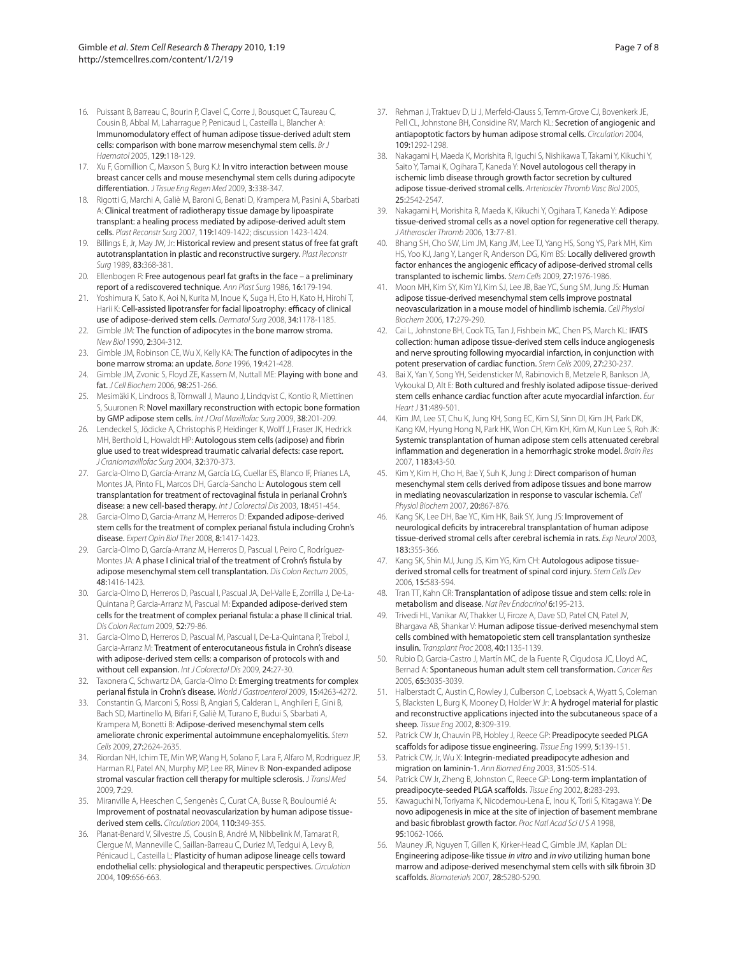- 16. Puissant B, Barreau C, Bourin P, Clavel C, Corre, J, Bousquet C, Taureau C, Cousin B, Abbal M, Laharrague P, Penicaud L, Casteilla L, Blancher A: Immunomodulatory effect of human adipose tissue-derived adult stem cells: comparison with bone marrow mesenchymal stem cells. Br J Haematol 2005, 129:118-129.
- 17. Xu F, Gomillion C, Maxson S, Burg KJ: In vitro interaction between mouse breast cancer cells and mouse mesenchymal stem cells during adipocyte differentiation. J Tissue Eng Regen Med 2009, 3:338-347.
- 18. Rigotti G, Marchi A, Galiè M, Baroni G, Benati D, Krampera M, Pasini A, Sbarbati A: Clinical treatment of radiotherapy tissue damage by lipoaspirate transplant: a healing process mediated by adipose-derived adult stem cells. Plast Reconstr Surg 2007, 119:1409-1422; discussion 1423-1424.
- 19. Billings E, Jr, May JW, Jr: Historical review and present status of free fat graft autotransplantation in plastic and reconstructive surgery. Plast Reconstr Surg 1989, 83:368-381.
- 20. Ellenbogen R: Free autogenous pearl fat grafts in the face a preliminary report of a rediscovered technique. Ann Plast Surg 1986, 16:179-194.
- 21. Yoshimura K, Sato K, Aoi N, Kurita M, Inoue K, Suga H, Eto H, Kato H, Hirohi T, Harii K: Cell-assisted lipotransfer for facial lipoatrophy: efficacy of clinical use of adipose-derived stem cells. Dermatol Surg 2008, 34:1178-1185.
- 22. Gimble JM: The function of adipocytes in the bone marrow stroma. New Biol 1990, 2:304-312.
- 23. Gimble JM, Robinson CE, Wu X, Kelly KA: The function of adipocytes in the bone marrow stroma: an update. Bone 1996, 19:421-428.
- 24. Gimble JM, Zvonic S, Floyd ZE, Kassem M, Nuttall ME: Playing with bone and fat. J Cell Biochem 2006, 98:251-266.
- 25. Mesimäki K, Lindroos B, Törnwall J, Mauno J, Lindqvist C, Kontio R, Miettinen S, Suuronen R: Novel maxillary reconstruction with ectopic bone formation by GMP adipose stem cells. Int J Oral Maxillofac Surg 2009, 38:201-209.
- 26. Lendeckel S, Jödicke A, Christophis P, Heidinger K, Wolff J, Fraser JK, Hedrick MH, Berthold L, Howaldt HP: Autologous stem cells (adipose) and fibrin glue used to treat widespread traumatic calvarial defects: case report. J Craniomaxillofac Surg 2004, 32:370-373.
- 27. García-Olmo D, García-Arranz M, García LG, Cuellar ES, Blanco IF, Prianes LA, Montes JA, Pinto FL, Marcos DH, García-Sancho L: Autologous stem cell transplantation for treatment of rectovaginal fistula in perianal Crohn's disease: a new cell-based therapy. Int J Colorectal Dis 2003, 18:451-454.
- 28. Garcia-Olmo D, Garcia-Arranz M, Herreros D: Expanded adipose-derived stem cells for the treatment of complex perianal fistula including Crohn's disease. Expert Opin Biol Ther 2008, 8:1417-1423.
- 29. García-Olmo D, García-Arranz M, Herreros D, Pascual I, Peiro C, Rodríguez-Montes JA: A phase I clinical trial of the treatment of Crohn's fistula by adipose mesenchymal stem cell transplantation. Dis Colon Rectum 2005, 48:1416-1423.
- 30. Garcia-Olmo D, Herreros D, Pascual I, Pascual JA, Del-Valle E, Zorrilla J, De-La-Quintana P, Garcia-Arranz M, Pascual M: Expanded adipose-derived stem cells for the treatment of complex perianal fistula: a phase II clinical trial. Dis Colon Rectum 2009, 52:79-86.
- 31. Garcia-Olmo D, Herreros D, Pascual M, Pascual I, De-La-Quintana P, Trebol J, Garcia-Arranz M: Treatment of enterocutaneous fistula in Crohn's disease with adipose-derived stem cells: a comparison of protocols with and without cell expansion. Int J Colorectal Dis 2009, 24:27-30.
- 32. Taxonera C, Schwartz DA, Garcia-Olmo D: Emerging treatments for complex perianal fistula in Crohn's disease. World J Gastroenterol 2009, 15:4263-4272.
- 33. Constantin G, Marconi S, Rossi B, Angiari S, Calderan L, Anghileri E, Gini B, Bach SD, Martinello M, Bifari F, Galiè M, Turano E, Budui S, Sbarbati A, Krampera M, Bonetti B: Adipose-derived mesenchymal stem cells ameliorate chronic experimental autoimmune encephalomyelitis. Stem Cells 2009, 27:2624-2635.
- 34. Riordan NH, Ichim TE, Min WP, Wang H, Solano F, Lara F, Alfaro M, Rodriguez JP, Harman RJ, Patel AN, Murphy MP, Lee RR, Minev B: Non-expanded adipose stromal vascular fraction cell therapy for multiple sclerosis. J Transl Med 2009, 7:29.
- 35. Miranville A, Heeschen C, Sengenès C, Curat CA, Busse R, Bouloumié A: Improvement of postnatal neovascularization by human adipose tissuederived stem cells. Circulation 2004, 110:349-355.
- 36. Planat-Benard V, Silvestre JS, Cousin B, André M, Nibbelink M, Tamarat R, Clergue M, Manneville C, Saillan-Barreau C, Duriez M, Tedgui A, Levy B, Pénicaud L, Casteilla L: Plasticity of human adipose lineage cells toward endothelial cells: physiological and therapeutic perspectives. Circulation 2004, 109:656-663.
- 37. Rehman J, Traktuev D, Li J, Merfeld-Clauss S, Temm-Grove CJ, Bovenkerk JF, Pell CL, Johnstone BH, Considine RV, March KL: Secretion of angiogenic and antiapoptotic factors by human adipose stromal cells. Circulation 2004, 109:1292-1298.
- 38. Nakagami H, Maeda K, Morishita R, Iguchi S, Nishikawa T, Takami Y, Kikuchi Y, Saito Y, Tamai K, Ogihara T, Kaneda Y: Novel autologous cell therapy in ischemic limb disease through growth factor secretion by cultured adipose tissue-derived stromal cells. Arterioscler Thromb Vasc Biol 2005, 25:2542-2547.
- 39. Nakagami H, Morishita R, Maeda K, Kikuchi Y, Ogihara T, Kaneda Y: Adipose tissue-derived stromal cells as a novel option for regenerative cell therapy. J Atheroscler Thromb 2006, 13:77-81.
- 40. Bhang SH, Cho SW, Lim JM, Kang JM, Lee TJ, Yang HS, Song YS, Park MH, Kim HS, Yoo KJ, Jang Y, Langer R, Anderson DG, Kim BS: Locally delivered growth factor enhances the angiogenic efficacy of adipose-derived stromal cells transplanted to ischemic limbs. Stem Cells 2009, 27:1976-1986.
- 41. Moon MH, Kim SY, Kim YJ, Kim SJ, Lee JB, Bae YC, Sung SM, Jung JS: Human adipose tissue-derived mesenchymal stem cells improve postnatal neovascularization in a mouse model of hindlimb ischemia. Cell Physiol Biochem 2006, 17:279-290.
- 42. Cai L, Johnstone BH, Cook TG, Tan J, Fishbein MC, Chen PS, March KL: IFATS collection: human adipose tissue-derived stem cells induce angiogenesis and nerve sprouting following myocardial infarction, in conjunction with potent preservation of cardiac function. Stem Cells 2009, 27:230-237.
- 43. Bai X, Yan Y, Song YH, Seidensticker M, Rabinovich B, Metzele R, Bankson JA, Vykoukal D, Alt E: Both cultured and freshly isolated adipose tissue-derived stem cells enhance cardiac function after acute myocardial infarction. Eur Heart J 31:489-501
- 44. Kim JM, Lee ST, Chu K, Jung KH, Song EC, Kim SJ, Sinn DI, Kim JH, Park DK, Kang KM, Hyung Hong N, Park HK, Won CH, Kim KH, Kim M, Kun Lee S, Roh JK: Systemic transplantation of human adipose stem cells attenuated cerebral inflammation and degeneration in a hemorrhagic stroke model. Brain Res 2007, 1183:43-50.
- 45. Kim Y, Kim H, Cho H, Bae Y, Suh K, Jung J: Direct comparison of human mesenchymal stem cells derived from adipose tissues and bone marrow in mediating neovascularization in response to vascular ischemia. Cell Physiol Biochem 2007, 20:867-876.
- 46. Kang SK, Lee DH, Bae YC, Kim HK, Baik SY, Jung JS: Improvement of neurological deficits by intracerebral transplantation of human adipose tissue-derived stromal cells after cerebral ischemia in rats. Exp Neurol 2003, 183:355-366.
- 47. Kang SK, Shin MJ, Jung JS, Kim YG, Kim CH: Autologous adipose tissuederived stromal cells for treatment of spinal cord injury. Stem Cells Dev 2006, 15:583-594.
- 48. Tran TT, Kahn CR: Transplantation of adipose tissue and stem cells: role in metabolism and disease. Nat Rev Endocrinol 6:195-213.
- 49. Trivedi HL, Vanikar AV, Thakker U, Firoze A, Dave SD, Patel CN, Patel JV, Bhargava AB, Shankar V: Human adipose tissue-derived mesenchymal stem cells combined with hematopoietic stem cell transplantation synthesize insulin. Transplant Proc 2008, 40:1135-1139.
- 50. Rubio D, Garcia-Castro J, Martín MC, de la Fuente R, Cigudosa JC, Lloyd AC, Bernad A: Spontaneous human adult stem cell transformation. Cancer Res 2005, 65:3035-3039.
- 51. Halberstadt C, Austin C, Rowley J, Culberson C, Loebsack A, Wyatt S, Coleman S, Blacksten L, Burg K, Mooney D, Holder W Jr: A hydrogel material for plastic and reconstructive applications injected into the subcutaneous space of a sheep. Tissue Eng 2002, 8:309-319.
- 52. Patrick CW Jr, Chauvin PB, Hobley J, Reece GP: Preadipocyte seeded PLGA scaffolds for adipose tissue engineering. Tissue Eng 1999, 5:139-151.
- 53. Patrick CW, Jr, Wu X: Integrin-mediated preadipocyte adhesion and migration on laminin-1. Ann Biomed Eng 2003, 31:505-514.
- 54. Patrick CW Jr, Zheng B, Johnston C, Reece GP: Long-term implantation of preadipocyte-seeded PLGA scaffolds. Tissue Eng 2002, 8:283-293.
- 55. Kawaguchi N, Toriyama K, Nicodemou-Lena E, Inou K, Torii S, Kitagawa Y: De novo adipogenesis in mice at the site of injection of basement membrane and basic fibroblast growth factor. Proc Natl Acad Sci U S A 1998, 95:1062-1066.
- 56. Mauney JR, Nguyen T, Gillen K, Kirker-Head C, Gimble JM, Kaplan DL: Engineering adipose-like tissue in vitro and in vivo utilizing human bone marrow and adipose-derived mesenchymal stem cells with silk fibroin 3D scaffolds. Biomaterials 2007, 28:5280-5290.